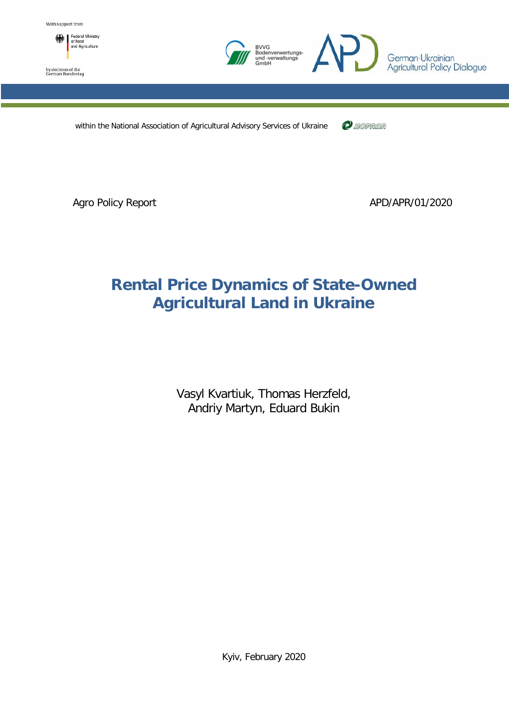

by decision of the<br>German Bundestag



within the National Association of Agricultural Advisory Services of Ukraine

 $\mathcal C$  dopada

Agro Policy Report **APD/APR/01/2020** 

# **Rental Price Dynamics of State-Owned Agricultural Land in Ukraine**

Vasyl Kvartiuk, Thomas Herzfeld, Andriy Martyn, Eduard Bukin

Kyiv, February 2020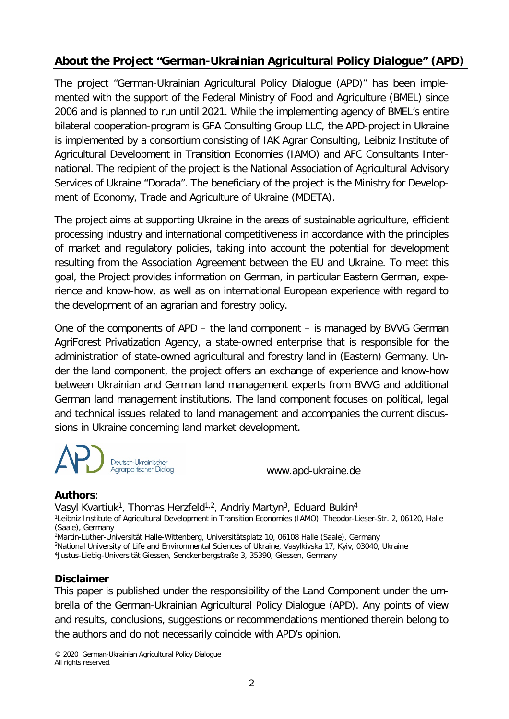# **About the Project "German-Ukrainian Agricultural Policy Dialogue" (APD)**

The project "German-Ukrainian Agricultural Policy Dialogue (APD)" has been implemented with the support of the Federal Ministry of Food and Agriculture (BMEL) since 2006 and is planned to run until 2021. While the implementing agency of BMEL's entire bilateral cooperation-program is GFA Consulting Group LLC, the APD-project in Ukraine is implemented by a consortium consisting of IAK Agrar Consulting, Leibniz Institute of Agricultural Development in Transition Economies (IAMO) and AFC Consultants International. The recipient of the project is the National Association of Agricultural Advisory Services of Ukraine "Dorada". The beneficiary of the project is the Ministry for Development of Economy, Trade and Agriculture of Ukraine (MDETA).

The project aims at supporting Ukraine in the areas of sustainable agriculture, efficient processing industry and international competitiveness in accordance with the principles of market and regulatory policies, taking into account the potential for development resulting from the Association Agreement between the EU and Ukraine. To meet this goal, the Project provides information on German, in particular Eastern German, experience and know-how, as well as on international European experience with regard to the development of an agrarian and forestry policy.

One of the components of APD – the land component – is managed by BVVG German AgriForest Privatization Agency, a state-owned enterprise that is responsible for the administration of state-owned agricultural and forestry land in (Eastern) Germany. Under the land component, the project offers an exchange of experience and know-how between Ukrainian and German land management experts from BVVG and additional German land management institutions. The land component focuses on political, legal and technical issues related to land management and accompanies the current discussions in Ukraine concerning land market development.

Deutsch-Ukrainischer Agrarpolitischer Dialog

www.apd-ukraine.de

#### **Authors**:

Vasyl Kvartiuk<sup>1</sup>, Thomas Herzfeld<sup>1,2</sup>, Andriy Martyn<sup>3</sup>, Eduard Bukin<sup>4</sup> 1Leibniz Institute of Agricultural Development in Transition Economies (IAMO), Theodor-Lieser-Str. 2, 06120, Halle (Saale), Germany 2Martin-Luther-Universität Halle-Wittenberg, Universitätsplatz 10, 06108 Halle (Saale), Germany 3National University of Life and Environmental Sciences of Ukraine, Vasylkivska 17, Kyiv, 03040, Ukraine 4Justus-Liebig-Universität Giessen, Senckenbergstraße 3, 35390, Giessen, Germany

#### **Disclaimer**

This paper is published under the responsibility of the Land Component under the umbrella of the German-Ukrainian Agricultural Policy Dialogue (APD). Any points of view and results, conclusions, suggestions or recommendations mentioned therein belong to the authors and do not necessarily coincide with APD's opinion.

© 2020 German-Ukrainian Agricultural Policy Dialogue All rights reserved.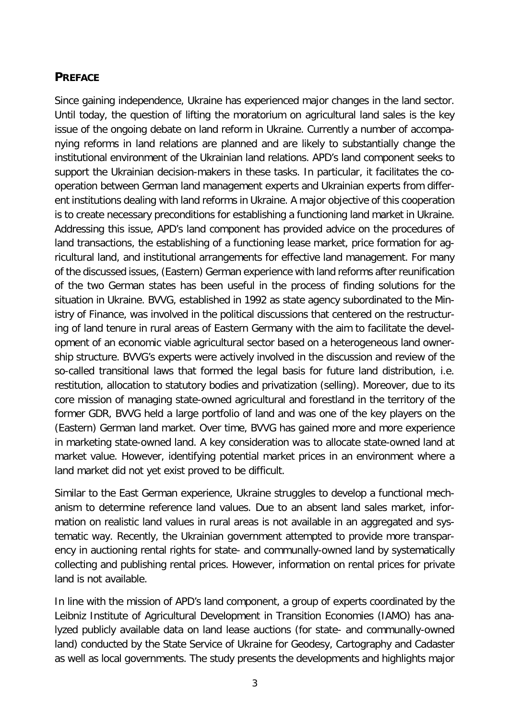# <span id="page-2-0"></span>**PREFACE**

Since gaining independence, Ukraine has experienced major changes in the land sector. Until today, the question of lifting the moratorium on agricultural land sales is the key issue of the ongoing debate on land reform in Ukraine. Currently a number of accompanying reforms in land relations are planned and are likely to substantially change the institutional environment of the Ukrainian land relations. APD's land component seeks to support the Ukrainian decision-makers in these tasks. In particular, it facilitates the cooperation between German land management experts and Ukrainian experts from different institutions dealing with land reforms in Ukraine. A major objective of this cooperation is to create necessary preconditions for establishing a functioning land market in Ukraine. Addressing this issue, APD's land component has provided advice on the procedures of land transactions, the establishing of a functioning lease market, price formation for agricultural land, and institutional arrangements for effective land management. For many of the discussed issues, (Eastern) German experience with land reforms after reunification of the two German states has been useful in the process of finding solutions for the situation in Ukraine. BVVG, established in 1992 as state agency subordinated to the Ministry of Finance, was involved in the political discussions that centered on the restructuring of land tenure in rural areas of Eastern Germany with the aim to facilitate the development of an economic viable agricultural sector based on a heterogeneous land ownership structure. BVVG's experts were actively involved in the discussion and review of the so-called transitional laws that formed the legal basis for future land distribution, i.e. restitution, allocation to statutory bodies and privatization (selling). Moreover, due to its core mission of managing state-owned agricultural and forestland in the territory of the former GDR, BVVG held a large portfolio of land and was one of the key players on the (Eastern) German land market. Over time, BVVG has gained more and more experience in marketing state-owned land. A key consideration was to allocate state-owned land at market value. However, identifying potential market prices in an environment where a land market did not yet exist proved to be difficult.

Similar to the East German experience, Ukraine struggles to develop a functional mechanism to determine reference land values. Due to an absent land sales market, information on realistic land values in rural areas is not available in an aggregated and systematic way. Recently, the Ukrainian government attempted to provide more transparency in auctioning rental rights for state- and communally-owned land by systematically collecting and publishing rental prices. However, information on rental prices for private land is not available.

In line with the mission of APD's land component, a group of experts coordinated by the Leibniz Institute of Agricultural Development in Transition Economies (IAMO) has analyzed publicly available data on land lease auctions (for state- and communally-owned land) conducted by the State Service of Ukraine for Geodesy, Cartography and Cadaster as well as local governments. The study presents the developments and highlights major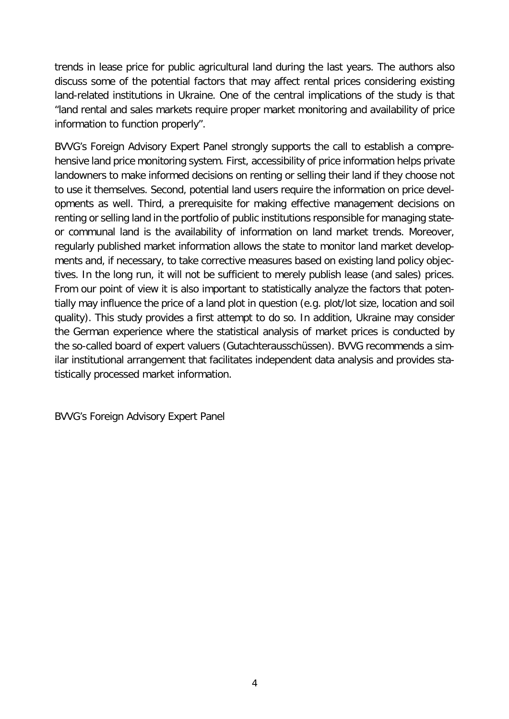trends in lease price for public agricultural land during the last years. The authors also discuss some of the potential factors that may affect rental prices considering existing land-related institutions in Ukraine. One of the central implications of the study is that "land rental and sales markets require proper market monitoring and availability of price information to function properly".

BVVG's Foreign Advisory Expert Panel strongly supports the call to establish a comprehensive land price monitoring system. First, accessibility of price information helps private landowners to make informed decisions on renting or selling their land if they choose not to use it themselves. Second, potential land users require the information on price developments as well. Third, a prerequisite for making effective management decisions on renting or selling land in the portfolio of public institutions responsible for managing stateor communal land is the availability of information on land market trends. Moreover, regularly published market information allows the state to monitor land market developments and, if necessary, to take corrective measures based on existing land policy objectives. In the long run, it will not be sufficient to merely publish lease (and sales) prices. From our point of view it is also important to statistically analyze the factors that potentially may influence the price of a land plot in question (e.g. plot/lot size, location and soil quality). This study provides a first attempt to do so. In addition, Ukraine may consider the German experience where the statistical analysis of market prices is conducted by the so-called board of expert valuers (Gutachterausschüssen). BVVG recommends a similar institutional arrangement that facilitates independent data analysis and provides statistically processed market information.

BVVG's Foreign Advisory Expert Panel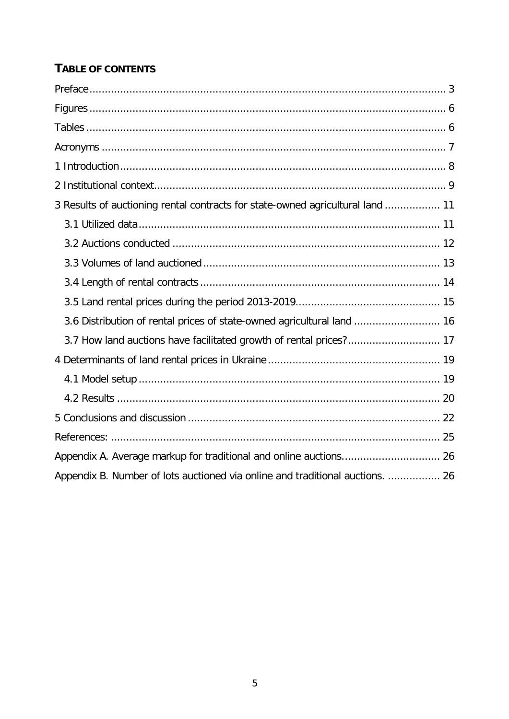# TABLE OF CONTENTS

| 3 Results of auctioning rental contracts for state-owned agricultural land  11 |
|--------------------------------------------------------------------------------|
|                                                                                |
|                                                                                |
|                                                                                |
|                                                                                |
|                                                                                |
| 3.6 Distribution of rental prices of state-owned agricultural land  16         |
| 3.7 How land auctions have facilitated growth of rental prices? 17             |
|                                                                                |
|                                                                                |
|                                                                                |
|                                                                                |
|                                                                                |
|                                                                                |
| Appendix B. Number of lots auctioned via online and traditional auctions.  26  |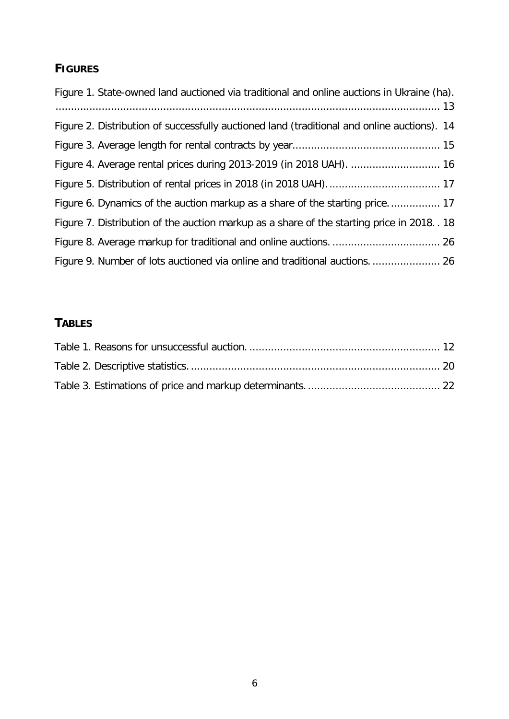# <span id="page-5-0"></span>**FIGURES**

| Figure 1. State-owned land auctioned via traditional and online auctions in Ukraine (ha).   |
|---------------------------------------------------------------------------------------------|
| Figure 2. Distribution of successfully auctioned land (traditional and online auctions). 14 |
|                                                                                             |
| Figure 4. Average rental prices during 2013-2019 (in 2018 UAH).  16                         |
|                                                                                             |
| Figure 6. Dynamics of the auction markup as a share of the starting price 17                |
| Figure 7. Distribution of the auction markup as a share of the starting price in 2018. . 18 |
|                                                                                             |
| Figure 9. Number of lots auctioned via online and traditional auctions 26                   |

# <span id="page-5-2"></span><span id="page-5-1"></span>**TABLES**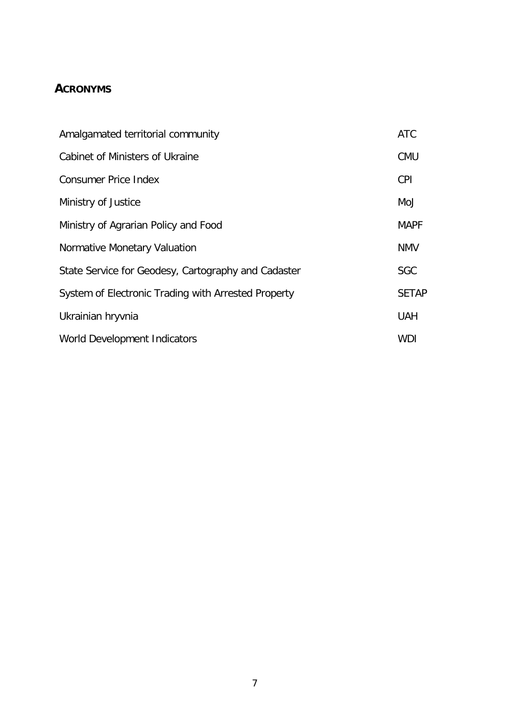# <span id="page-6-0"></span>**ACRONYMS**

| Amalgamated territorial community                   | <b>ATC</b>   |
|-----------------------------------------------------|--------------|
| Cabinet of Ministers of Ukraine                     | <b>CMU</b>   |
| <b>Consumer Price Index</b>                         | <b>CPI</b>   |
| Ministry of Justice                                 | MoJ          |
| Ministry of Agrarian Policy and Food                | <b>MAPF</b>  |
| Normative Monetary Valuation                        | <b>NMV</b>   |
| State Service for Geodesy, Cartography and Cadaster | <b>SGC</b>   |
| System of Electronic Trading with Arrested Property | <b>SETAP</b> |
| Ukrainian hryvnia                                   | <b>UAH</b>   |
| World Development Indicators                        | <b>WDI</b>   |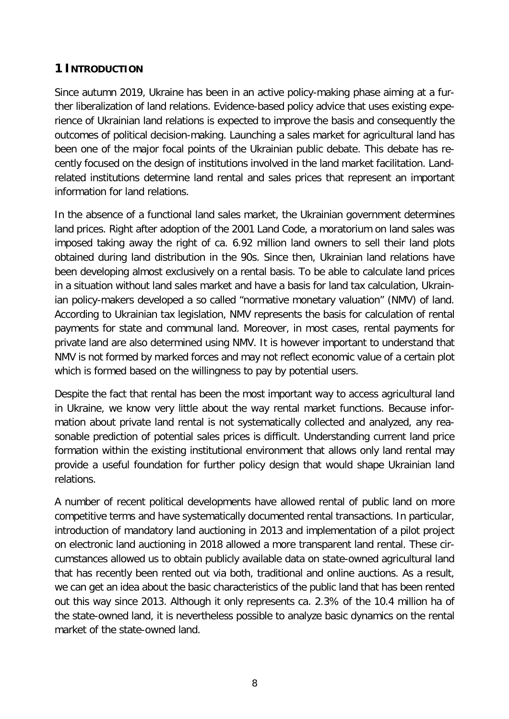# <span id="page-7-0"></span>**1 INTRODUCTION**

Since autumn 2019, Ukraine has been in an active policy-making phase aiming at a further liberalization of land relations. Evidence-based policy advice that uses existing experience of Ukrainian land relations is expected to improve the basis and consequently the outcomes of political decision-making. Launching a sales market for agricultural land has been one of the major focal points of the Ukrainian public debate. This debate has recently focused on the design of institutions involved in the land market facilitation. Landrelated institutions determine land rental and sales prices that represent an important information for land relations.

In the absence of a functional land sales market, the Ukrainian government determines land prices. Right after adoption of the 2001 Land Code, a moratorium on land sales was imposed taking away the right of ca. 6.92 million land owners to sell their land plots obtained during land distribution in the 90s. Since then, Ukrainian land relations have been developing almost exclusively on a rental basis. To be able to calculate land prices in a situation without land sales market and have a basis for land tax calculation, Ukrainian policy-makers developed a so called "normative monetary valuation" (NMV) of land. According to Ukrainian tax legislation, NMV represents the basis for calculation of rental payments for state and communal land. Moreover, in most cases, rental payments for private land are also determined using NMV. It is however important to understand that NMV is not formed by marked forces and may not reflect economic value of a certain plot which is formed based on the willingness to pay by potential users.

Despite the fact that rental has been the most important way to access agricultural land in Ukraine, we know very little about the way rental market functions. Because information about private land rental is not systematically collected and analyzed, any reasonable prediction of potential sales prices is difficult. Understanding current land price formation within the existing institutional environment that allows only land rental may provide a useful foundation for further policy design that would shape Ukrainian land relations.

A number of recent political developments have allowed rental of public land on more competitive terms and have systematically documented rental transactions. In particular, introduction of mandatory land auctioning in 2013 and implementation of a pilot project on electronic land auctioning in 2018 allowed a more transparent land rental. These circumstances allowed us to obtain publicly available data on state-owned agricultural land that has recently been rented out via both, traditional and online auctions. As a result, we can get an idea about the basic characteristics of the public land that has been rented out this way since 2013. Although it only represents ca. 2.3% of the 10.4 million ha of the state-owned land, it is nevertheless possible to analyze basic dynamics on the rental market of the state-owned land.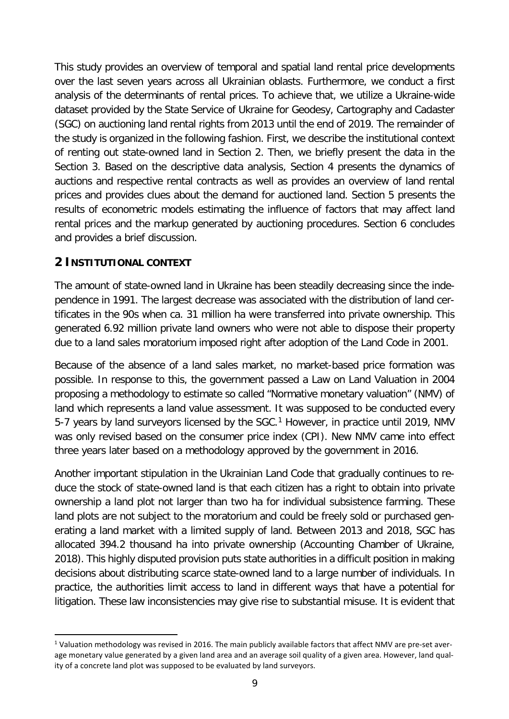This study provides an overview of temporal and spatial land rental price developments over the last seven years across all Ukrainian oblasts. Furthermore, we conduct a first analysis of the determinants of rental prices. To achieve that, we utilize a Ukraine-wide dataset provided by the State Service of Ukraine for Geodesy, Cartography and Cadaster (SGC) on auctioning land rental rights from 2013 until the end of 2019. The remainder of the study is organized in the following fashion. First, we describe the institutional context of renting out state-owned land in Section 2. Then, we briefly present the data in the Section 3. Based on the descriptive data analysis, Section 4 presents the dynamics of auctions and respective rental contracts as well as provides an overview of land rental prices and provides clues about the demand for auctioned land. Section 5 presents the results of econometric models estimating the influence of factors that may affect land rental prices and the markup generated by auctioning procedures. Section 6 concludes and provides a brief discussion.

# <span id="page-8-0"></span>**2 INSTITUTIONAL CONTEXT**

The amount of state-owned land in Ukraine has been steadily decreasing since the independence in 1991. The largest decrease was associated with the distribution of land certificates in the 90s when ca. 31 million ha were transferred into private ownership. This generated 6.92 million private land owners who were not able to dispose their property due to a land sales moratorium imposed right after adoption of the Land Code in 2001.

Because of the absence of a land sales market, no market-based price formation was possible. In response to this, the government passed a Law on Land Valuation in 2004 proposing a methodology to estimate so called "Normative monetary valuation" (NMV) of land which represents a land value assessment. It was supposed to be conducted every 5-7 years by land surveyors licensed by the SGC.<sup>[1](#page-8-1)</sup> However, in practice until 2019, NMV was only revised based on the consumer price index (CPI). New NMV came into effect three years later based on a methodology approved by the government in 2016.

Another important stipulation in the Ukrainian Land Code that gradually continues to reduce the stock of state-owned land is that each citizen has a right to obtain into private ownership a land plot not larger than two ha for individual subsistence farming. These land plots are not subject to the moratorium and could be freely sold or purchased generating a land market with a limited supply of land. Between 2013 and 2018, SGC has allocated 394.2 thousand ha into private ownership (Accounting Chamber of Ukraine, 2018). This highly disputed provision puts state authorities in a difficult position in making decisions about distributing scarce state-owned land to a large number of individuals. In practice, the authorities limit access to land in different ways that have a potential for litigation. These law inconsistencies may give rise to substantial misuse. It is evident that

<span id="page-8-1"></span> $1$  Valuation methodology was revised in 2016. The main publicly available factors that affect NMV are pre-set average monetary value generated by a given land area and an average soil quality of a given area. However, land quality of a concrete land plot was supposed to be evaluated by land surveyors.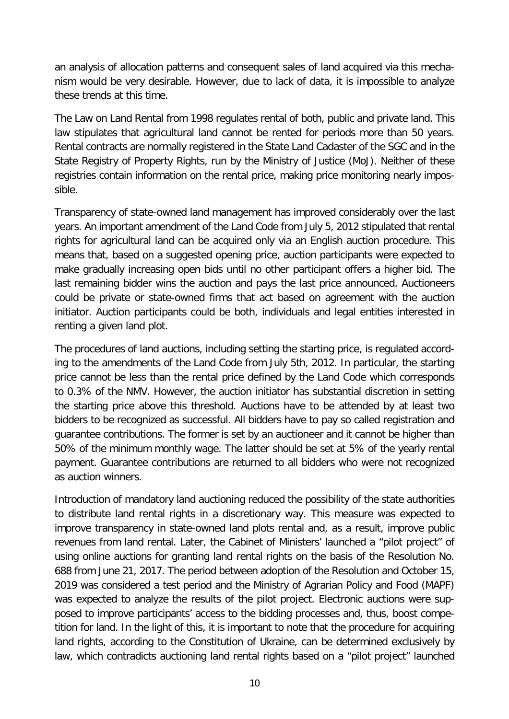an analysis of allocation patterns and consequent sales of land acquired via this mechanism would be very desirable. However, due to lack of data, it is impossible to analyze these trends at this time.

The Law on Land Rental from 1998 regulates rental of both, public and private land. This law stipulates that agricultural land cannot be rented for periods more than 50 years. Rental contracts are normally registered in the State Land Cadaster of the SGC and in the State Registry of Property Rights, run by the Ministry of Justice (MoJ). Neither of these registries contain information on the rental price, making price monitoring nearly impossible.

Transparency of state-owned land management has improved considerably over the last years. An important amendment of the Land Code from July 5, 2012 stipulated that rental rights for agricultural land can be acquired only via an English auction procedure. This means that, based on a suggested opening price, auction participants were expected to make gradually increasing open bids until no other participant offers a higher bid. The last remaining bidder wins the auction and pays the last price announced. Auctioneers could be private or state-owned firms that act based on agreement with the auction initiator. Auction participants could be both, individuals and legal entities interested in renting a given land plot.

The procedures of land auctions, including setting the starting price, is regulated according to the amendments of the Land Code from July 5th, 2012. In particular, the starting price cannot be less than the rental price defined by the Land Code which corresponds to 0.3% of the NMV. However, the auction initiator has substantial discretion in setting the starting price above this threshold. Auctions have to be attended by at least two bidders to be recognized as successful. All bidders have to pay so called registration and guarantee contributions. The former is set by an auctioneer and it cannot be higher than 50% of the minimum monthly wage. The latter should be set at 5% of the yearly rental payment. Guarantee contributions are returned to all bidders who were not recognized as auction winners.

Introduction of mandatory land auctioning reduced the possibility of the state authorities to distribute land rental rights in a discretionary way. This measure was expected to improve transparency in state-owned land plots rental and, as a result, improve public revenues from land rental. Later, the Cabinet of Ministers' launched a "pilot project" of using online auctions for granting land rental rights on the basis of the Resolution No. 688 from June 21, 2017. The period between adoption of the Resolution and October 15, 2019 was considered a test period and the Ministry of Agrarian Policy and Food (MAPF) was expected to analyze the results of the pilot project. Electronic auctions were supposed to improve participants' access to the bidding processes and, thus, boost competition for land. In the light of this, it is important to note that the procedure for acquiring land rights, according to the Constitution of Ukraine, can be determined exclusively by law, which contradicts auctioning land rental rights based on a "pilot project" launched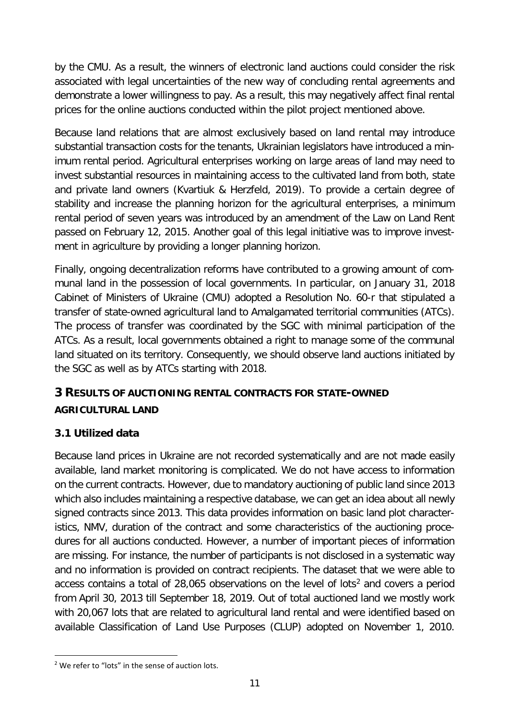by the CMU. As a result, the winners of electronic land auctions could consider the risk associated with legal uncertainties of the new way of concluding rental agreements and demonstrate a lower willingness to pay. As a result, this may negatively affect final rental prices for the online auctions conducted within the pilot project mentioned above.

Because land relations that are almost exclusively based on land rental may introduce substantial transaction costs for the tenants, Ukrainian legislators have introduced a minimum rental period. Agricultural enterprises working on large areas of land may need to invest substantial resources in maintaining access to the cultivated land from both, state and private land owners (Kvartiuk & Herzfeld, 2019). To provide a certain degree of stability and increase the planning horizon for the agricultural enterprises, a minimum rental period of seven years was introduced by an amendment of the Law on Land Rent passed on February 12, 2015. Another goal of this legal initiative was to improve investment in agriculture by providing a longer planning horizon.

Finally, ongoing decentralization reforms have contributed to a growing amount of communal land in the possession of local governments. In particular, on January 31, 2018 Cabinet of Ministers of Ukraine (CMU) adopted a Resolution No. 60-r that stipulated a transfer of state-owned agricultural land to Amalgamated territorial communities (ATCs). The process of transfer was coordinated by the SGC with minimal participation of the ATCs. As a result, local governments obtained a right to manage some of the communal land situated on its territory. Consequently, we should observe land auctions initiated by the SGC as well as by ATCs starting with 2018.

# <span id="page-10-0"></span>**3 RESULTS OF AUCTIONING RENTAL CONTRACTS FOR STATE-OWNED AGRICULTURAL LAND**

# <span id="page-10-1"></span>**3.1 Utilized data**

Because land prices in Ukraine are not recorded systematically and are not made easily available, land market monitoring is complicated. We do not have access to information on the current contracts. However, due to mandatory auctioning of public land since 2013 which also includes maintaining a respective database, we can get an idea about all newly signed contracts since 2013. This data provides information on basic land plot characteristics, NMV, duration of the contract and some characteristics of the auctioning procedures for all auctions conducted. However, a number of important pieces of information are missing. For instance, the number of participants is not disclosed in a systematic way and no information is provided on contract recipients. The dataset that we were able to access contains a total of [2](#page-10-2)8,065 observations on the level of lots<sup>2</sup> and covers a period from April 30, 2013 till September 18, 2019. Out of total auctioned land we mostly work with 20,067 lots that are related to agricultural land rental and were identified based on available Classification of Land Use Purposes (CLUP) adopted on November 1, 2010.

<span id="page-10-2"></span><sup>&</sup>lt;sup>2</sup> We refer to "lots" in the sense of auction lots.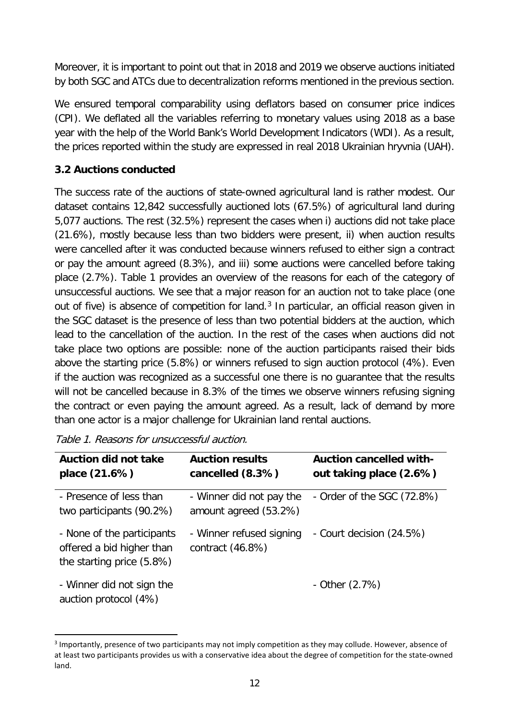Moreover, it is important to point out that in 2018 and 2019 we observe auctions initiated by both SGC and ATCs due to decentralization reforms mentioned in the previous section.

We ensured temporal comparability using deflators based on consumer price indices (CPI). We deflated all the variables referring to monetary values using 2018 as a base year with the help of the World Bank's World Development Indicators (WDI). As a result, the prices reported within the study are expressed in real 2018 Ukrainian hryvnia (UAH).

# <span id="page-11-0"></span>**3.2 Auctions conducted**

The success rate of the auctions of state-owned agricultural land is rather modest. Our dataset contains 12,842 successfully auctioned lots (67.5%) of agricultural land during 5,077 auctions. The rest (32.5%) represent the cases when i) auctions did not take place (21.6%), mostly because less than two bidders were present, ii) when auction results were cancelled after it was conducted because winners refused to either sign a contract or pay the amount agreed (8.3%), and iii) some auctions were cancelled before taking place (2.7%). [Table 1](#page-11-1) provides an overview of the reasons for each of the category of unsuccessful auctions. We see that a major reason for an auction not to take place (one out of five) is absence of competition for land. $3$  In particular, an official reason given in the SGC dataset is the presence of less than two potential bidders at the auction, which lead to the cancellation of the auction. In the rest of the cases when auctions did not take place two options are possible: none of the auction participants raised their bids above the starting price (5.8%) or winners refused to sign auction protocol (4%). Even if the auction was recognized as a successful one there is no guarantee that the results will not be cancelled because in 8.3% of the times we observe winners refusing signing the contract or even paying the amount agreed. As a result, lack of demand by more than one actor is a major challenge for Ukrainian land rental auctions.

| <b>Auction did not take</b><br>place (21.6%)                                         | <b>Auction results</b><br>cancelled (8.3%)        | <b>Auction cancelled with-</b><br>out taking place (2.6%) |
|--------------------------------------------------------------------------------------|---------------------------------------------------|-----------------------------------------------------------|
| - Presence of less than<br>two participants (90.2%)                                  | - Winner did not pay the<br>amount agreed (53.2%) | - Order of the SGC (72.8%)                                |
| - None of the participants<br>offered a bid higher than<br>the starting price (5.8%) | - Winner refused signing<br>contract (46.8%)      | - Court decision (24.5%)                                  |
| - Winner did not sign the<br>auction protocol (4%)                                   |                                                   | - Other $(2.7%)$                                          |

<span id="page-11-1"></span>

<span id="page-11-2"></span> <sup>3</sup> Importantly, presence of two participants may not imply competition as they may collude. However, absence of at least two participants provides us with a conservative idea about the degree of competition for the state-owned land.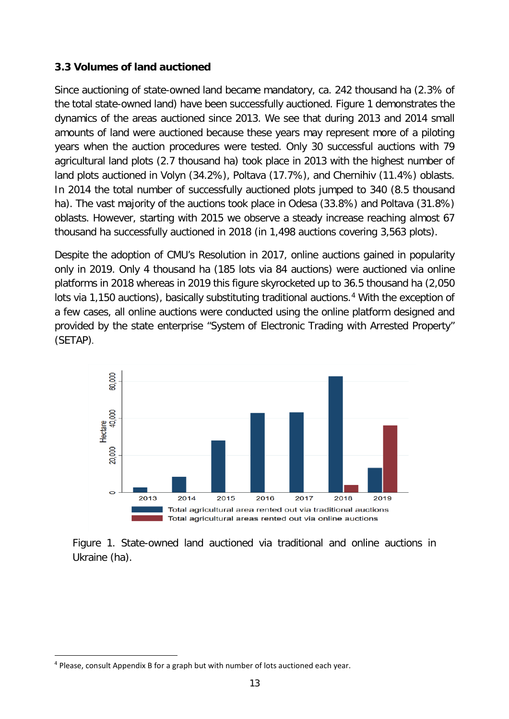#### <span id="page-12-0"></span>**3.3 Volumes of land auctioned**

Since auctioning of state-owned land became mandatory, ca. 242 thousand ha (2.3% of the total state-owned land) have been successfully auctioned. [Figure 1](#page-5-2) demonstrates the dynamics of the areas auctioned since 2013. We see that during 2013 and 2014 small amounts of land were auctioned because these years may represent more of a piloting years when the auction procedures were tested. Only 30 successful auctions with 79 agricultural land plots (2.7 thousand ha) took place in 2013 with the highest number of land plots auctioned in Volyn (34.2%), Poltava (17.7%), and Chernihiv (11.4%) oblasts. In 2014 the total number of successfully auctioned plots jumped to 340 (8.5 thousand ha). The vast majority of the auctions took place in Odesa (33.8%) and Poltava (31.8%) oblasts. However, starting with 2015 we observe a steady increase reaching almost 67 thousand ha successfully auctioned in 2018 (in 1,498 auctions covering 3,563 plots).

Despite the adoption of CMU's Resolution in 2017, online auctions gained in popularity only in 2019. Only 4 thousand ha (185 lots via 84 auctions) were auctioned via online platforms in 2018 whereas in 2019 this figure skyrocketed up to 36.5 thousand ha (2,050 lots via 1,150 auctions), basically substituting traditional auctions.<sup>[4](#page-12-1)</sup> With the exception of a few cases, all online auctions were conducted using the online platform designed and provided by the state enterprise "System of Electronic Trading with Arrested Property" (SETAP).



Figure 1. State-owned land auctioned via traditional and online auctions in Ukraine (ha).

<span id="page-12-1"></span> <sup>4</sup> Please, consult Appendix B for a graph but with number of lots auctioned each year.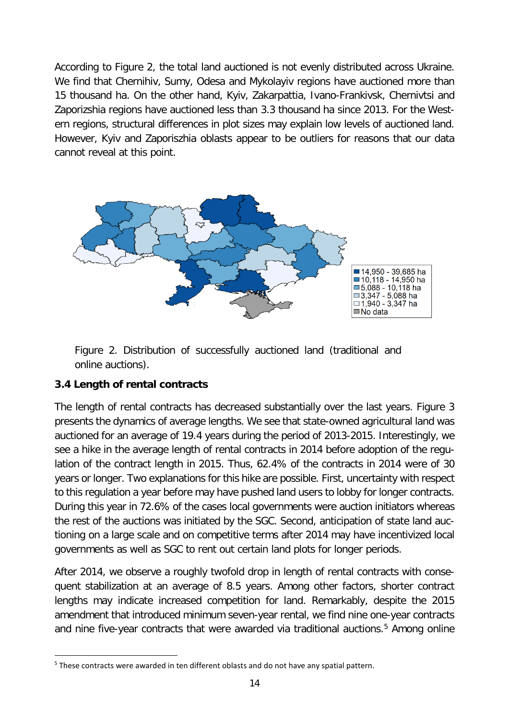According to [Figure 2,](#page-13-1) the total land auctioned is not evenly distributed across Ukraine. We find that Chernihiv, Sumy, Odesa and Mykolayiv regions have auctioned more than 15 thousand ha. On the other hand, Kyiv, Zakarpattia, Ivano-Frankivsk, Chernivtsi and Zaporizshia regions have auctioned less than 3.3 thousand ha since 2013. For the Western regions, structural differences in plot sizes may explain low levels of auctioned land. However, Kyiv and Zaporiszhia oblasts appear to be outliers for reasons that our data cannot reveal at this point.



<span id="page-13-1"></span>Figure 2. Distribution of successfully auctioned land (traditional and online auctions).

# <span id="page-13-0"></span>**3.4 Length of rental contracts**

The length of rental contracts has decreased substantially over the last years. [Figure 3](#page-14-1) presents the dynamics of average lengths. We see that state-owned agricultural land was auctioned for an average of 19.4 years during the period of 2013-2015. Interestingly, we see a hike in the average length of rental contracts in 2014 before adoption of the regulation of the contract length in 2015. Thus, 62.4% of the contracts in 2014 were of 30 years or longer. Two explanations for this hike are possible. First, uncertainty with respect to this regulation a year before may have pushed land users to lobby for longer contracts. During this year in 72.6% of the cases local governments were auction initiators whereas the rest of the auctions was initiated by the SGC. Second, anticipation of state land auctioning on a large scale and on competitive terms after 2014 may have incentivized local governments as well as SGC to rent out certain land plots for longer periods.

After 2014, we observe a roughly twofold drop in length of rental contracts with consequent stabilization at an average of 8.5 years. Among other factors, shorter contract lengths may indicate increased competition for land. Remarkably, despite the 2015 amendment that introduced minimum seven-year rental, we find nine one-year contracts and nine five-year contracts that were awarded via traditional auctions.<sup>[5](#page-13-2)</sup> Among online

<span id="page-13-2"></span><sup>&</sup>lt;sup>5</sup> These contracts were awarded in ten different oblasts and do not have any spatial pattern.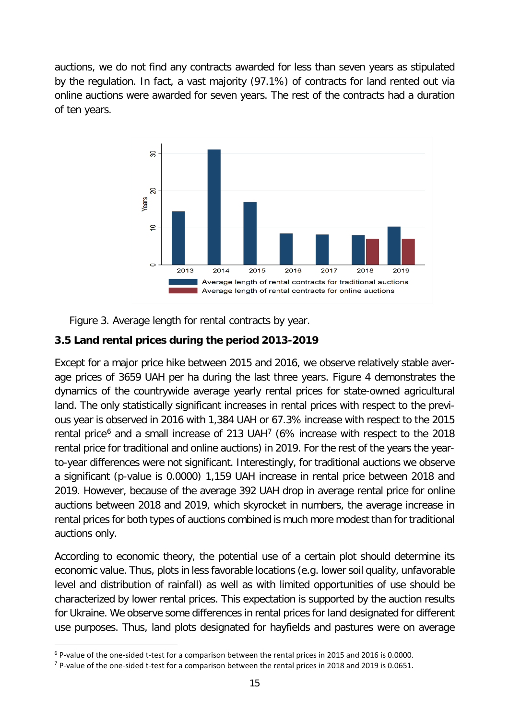auctions, we do not find any contracts awarded for less than seven years as stipulated by the regulation. In fact, a vast majority (97.1%) of contracts for land rented out via online auctions were awarded for seven years. The rest of the contracts had a duration of ten years.



<span id="page-14-1"></span>Figure 3. Average length for rental contracts by year.

# <span id="page-14-0"></span>**3.5 Land rental prices during the period 2013-2019**

Except for a major price hike between 2015 and 2016, we observe relatively stable average prices of 3659 UAH per ha during the last three years. [Figure 4](#page-15-1) demonstrates the dynamics of the countrywide average yearly rental prices for state-owned agricultural land. The only statistically significant increases in rental prices with respect to the previous year is observed in 2016 with 1,384 UAH or 67.3% increase with respect to the 2015 rental price<sup>[6](#page-14-2)</sup> and a small increase of 213 UAH<sup>[7](#page-14-3)</sup> (6% increase with respect to the 2018 rental price for traditional and online auctions) in 2019. For the rest of the years the yearto-year differences were not significant. Interestingly, for traditional auctions we observe a significant (p-value is 0.0000) 1,159 UAH increase in rental price between 2018 and 2019. However, because of the average 392 UAH drop in average rental price for online auctions between 2018 and 2019, which skyrocket in numbers, the average increase in rental prices for both types of auctions combined is much more modest than for traditional auctions only.

According to economic theory, the potential use of a certain plot should determine its economic value. Thus, plots in less favorable locations (e.g. lower soil quality, unfavorable level and distribution of rainfall) as well as with limited opportunities of use should be characterized by lower rental prices. This expectation is supported by the auction results for Ukraine. We observe some differences in rental prices for land designated for different use purposes. Thus, land plots designated for hayfields and pastures were on average

<span id="page-14-2"></span><sup>&</sup>lt;sup>6</sup> P-value of the one-sided t-test for a comparison between the rental prices in 2015 and 2016 is 0.0000.<br><sup>7</sup> P-value of the one-sided t-test for a comparison between the rental prices in 2018 and 2019 is 0.0651.

<span id="page-14-3"></span>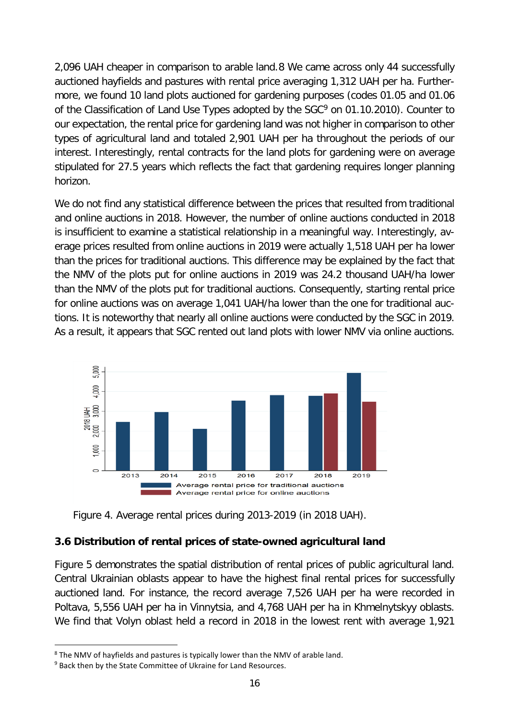2,096 UAH cheaper in comparison to arable land.[8](#page-15-2) We came across only 44 successfully auctioned hayfields and pastures with rental price averaging 1,312 UAH per ha. Furthermore, we found 10 land plots auctioned for gardening purposes (codes 01.05 and 01.06 of the Classification of Land Use Types adopted by the SGC<sup>[9](#page-15-3)</sup> on 01.10.2010). Counter to our expectation, the rental price for gardening land was not higher in comparison to other types of agricultural land and totaled 2,901 UAH per ha throughout the periods of our interest. Interestingly, rental contracts for the land plots for gardening were on average stipulated for 27.5 years which reflects the fact that gardening requires longer planning horizon.

We do not find any statistical difference between the prices that resulted from traditional and online auctions in 2018. However, the number of online auctions conducted in 2018 is insufficient to examine a statistical relationship in a meaningful way. Interestingly, average prices resulted from online auctions in 2019 were actually 1,518 UAH per ha lower than the prices for traditional auctions. This difference may be explained by the fact that the NMV of the plots put for online auctions in 2019 was 24.2 thousand UAH/ha lower than the NMV of the plots put for traditional auctions. Consequently, starting rental price for online auctions was on average 1,041 UAH/ha lower than the one for traditional auctions. It is noteworthy that nearly all online auctions were conducted by the SGC in 2019. As a result, it appears that SGC rented out land plots with lower NMV via online auctions.



<span id="page-15-1"></span>Figure 4. Average rental prices during 2013-2019 (in 2018 UAH).

# <span id="page-15-0"></span>**3.6 Distribution of rental prices of state-owned agricultural land**

[Figure 5](#page-16-1) demonstrates the spatial distribution of rental prices of public agricultural land. Central Ukrainian oblasts appear to have the highest final rental prices for successfully auctioned land. For instance, the record average 7,526 UAH per ha were recorded in Poltava, 5,556 UAH per ha in Vinnytsia, and 4,768 UAH per ha in Khmelnytskyy oblasts. We find that Volyn oblast held a record in 2018 in the lowest rent with average 1,921

<span id="page-15-2"></span><sup>&</sup>lt;sup>8</sup> The NMV of hayfields and pastures is typically lower than the NMV of arable land.

<span id="page-15-3"></span> $9$  Back then by the State Committee of Ukraine for Land Resources.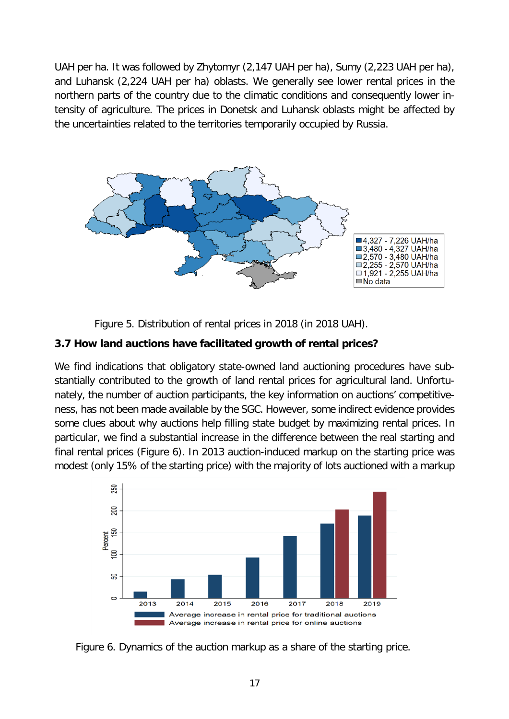UAH per ha. It was followed by Zhytomyr (2,147 UAH per ha), Sumy (2,223 UAH per ha), and Luhansk (2,224 UAH per ha) oblasts. We generally see lower rental prices in the northern parts of the country due to the climatic conditions and consequently lower intensity of agriculture. The prices in Donetsk and Luhansk oblasts might be affected by the uncertainties related to the territories temporarily occupied by Russia.



<span id="page-16-1"></span>Figure 5. Distribution of rental prices in 2018 (in 2018 UAH).

# <span id="page-16-0"></span>**3.7 How land auctions have facilitated growth of rental prices?**

We find indications that obligatory state-owned land auctioning procedures have substantially contributed to the growth of land rental prices for agricultural land. Unfortunately, the number of auction participants, the key information on auctions' competitiveness, has not been made available by the SGC. However, some indirect evidence provides some clues about why auctions help filling state budget by maximizing rental prices. In particular, we find a substantial increase in the difference between the real starting and final rental prices [\(Figure 6\)](#page-16-2). In 2013 auction-induced markup on the starting price was modest (only 15% of the starting price) with the majority of lots auctioned with a markup



<span id="page-16-2"></span>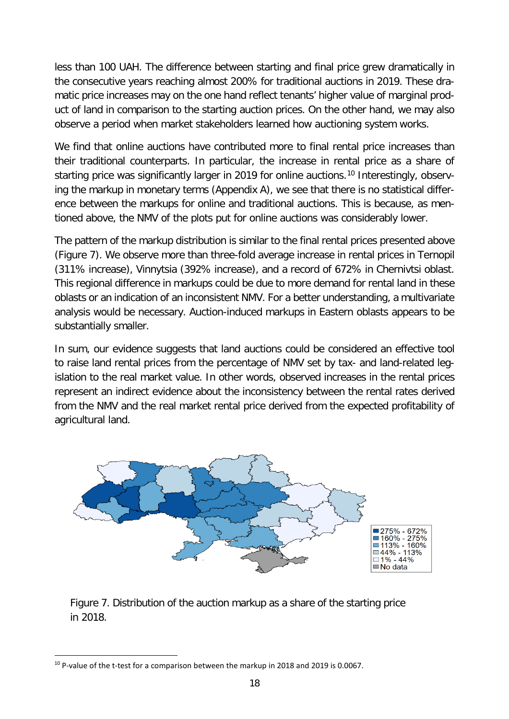less than 100 UAH. The difference between starting and final price grew dramatically in the consecutive years reaching almost 200% for traditional auctions in 2019. These dramatic price increases may on the one hand reflect tenants' higher value of marginal product of land in comparison to the starting auction prices. On the other hand, we may also observe a period when market stakeholders learned how auctioning system works.

We find that online auctions have contributed more to final rental price increases than their traditional counterparts. In particular, the increase in rental price as a share of starting price was significantly larger in 2019 for online auctions.<sup>[10](#page-17-1)</sup> Interestingly, observing the markup in monetary terms (Appendix A), we see that there is no statistical difference between the markups for online and traditional auctions. This is because, as mentioned above, the NMV of the plots put for online auctions was considerably lower.

The pattern of the markup distribution is similar to the final rental prices presented above [\(Figure 7\)](#page-17-0). We observe more than three-fold average increase in rental prices in Ternopil (311% increase), Vinnytsia (392% increase), and a record of 672% in Chernivtsi oblast. This regional difference in markups could be due to more demand for rental land in these oblasts or an indication of an inconsistent NMV. For a better understanding, a multivariate analysis would be necessary. Auction-induced markups in Eastern oblasts appears to be substantially smaller.

In sum, our evidence suggests that land auctions could be considered an effective tool to raise land rental prices from the percentage of NMV set by tax- and land-related legislation to the real market value. In other words, observed increases in the rental prices represent an indirect evidence about the inconsistency between the rental rates derived from the NMV and the real market rental price derived from the expected profitability of agricultural land.



<span id="page-17-0"></span>Figure 7. Distribution of the auction markup as a share of the starting price in 2018.

<span id="page-17-1"></span><sup>&</sup>lt;sup>10</sup> P-value of the t-test for a comparison between the markup in 2018 and 2019 is 0.0067.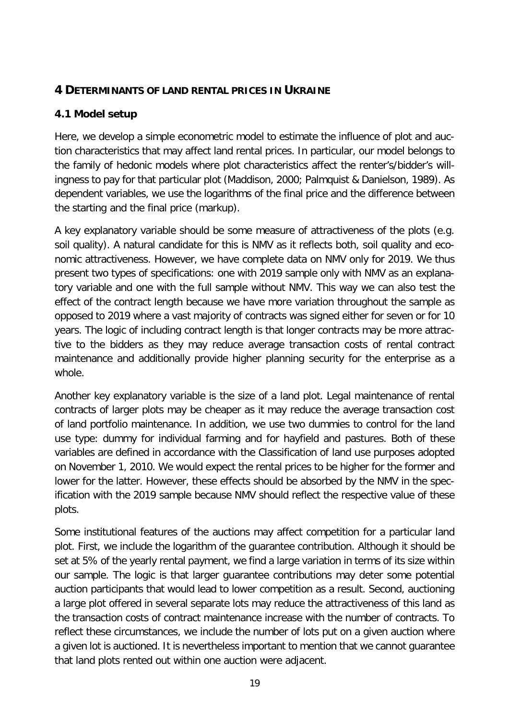# <span id="page-18-0"></span>**4 DETERMINANTS OF LAND RENTAL PRICES IN UKRAINE**

# <span id="page-18-1"></span>**4.1 Model setup**

Here, we develop a simple econometric model to estimate the influence of plot and auction characteristics that may affect land rental prices. In particular, our model belongs to the family of hedonic models where plot characteristics affect the renter's/bidder's willingness to pay for that particular plot (Maddison, 2000; Palmquist & Danielson, 1989). As dependent variables, we use the logarithms of the final price and the difference between the starting and the final price (markup).

A key explanatory variable should be some measure of attractiveness of the plots (e.g. soil quality). A natural candidate for this is NMV as it reflects both, soil quality and economic attractiveness. However, we have complete data on NMV only for 2019. We thus present two types of specifications: one with 2019 sample only with NMV as an explanatory variable and one with the full sample without NMV. This way we can also test the effect of the contract length because we have more variation throughout the sample as opposed to 2019 where a vast majority of contracts was signed either for seven or for 10 years. The logic of including contract length is that longer contracts may be more attractive to the bidders as they may reduce average transaction costs of rental contract maintenance and additionally provide higher planning security for the enterprise as a whole.

Another key explanatory variable is the size of a land plot. Legal maintenance of rental contracts of larger plots may be cheaper as it may reduce the average transaction cost of land portfolio maintenance. In addition, we use two dummies to control for the land use type: dummy for individual farming and for hayfield and pastures. Both of these variables are defined in accordance with the Classification of land use purposes adopted on November 1, 2010. We would expect the rental prices to be higher for the former and lower for the latter. However, these effects should be absorbed by the NMV in the specification with the 2019 sample because NMV should reflect the respective value of these plots.

Some institutional features of the auctions may affect competition for a particular land plot. First, we include the logarithm of the guarantee contribution. Although it should be set at 5% of the yearly rental payment, we find a large variation in terms of its size within our sample. The logic is that larger guarantee contributions may deter some potential auction participants that would lead to lower competition as a result. Second, auctioning a large plot offered in several separate lots may reduce the attractiveness of this land as the transaction costs of contract maintenance increase with the number of contracts. To reflect these circumstances, we include the number of lots put on a given auction where a given lot is auctioned. It is nevertheless important to mention that we cannot guarantee that land plots rented out within one auction were adjacent.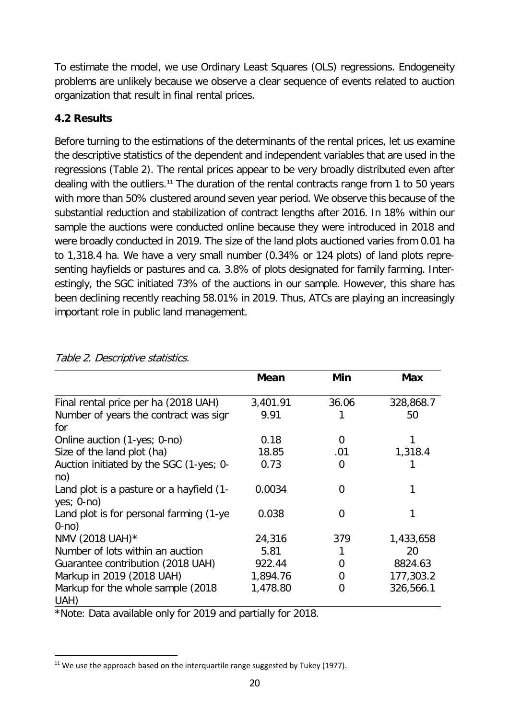To estimate the model, we use Ordinary Least Squares (OLS) regressions. Endogeneity problems are unlikely because we observe a clear sequence of events related to auction organization that result in final rental prices.

# <span id="page-19-0"></span>**4.2 Results**

Before turning to the estimations of the determinants of the rental prices, let us examine the descriptive statistics of the dependent and independent variables that are used in the regressions [\(Table 2\)](#page-19-1). The rental prices appear to be very broadly distributed even after dealing with the outliers.<sup>[11](#page-19-2)</sup> The duration of the rental contracts range from 1 to 50 years with more than 50% clustered around seven year period. We observe this because of the substantial reduction and stabilization of contract lengths after 2016. In 18% within our sample the auctions were conducted online because they were introduced in 2018 and were broadly conducted in 2019. The size of the land plots auctioned varies from 0.01 ha to 1,318.4 ha. We have a very small number (0.34% or 124 plots) of land plots representing hayfields or pastures and ca. 3.8% of plots designated for family farming. Interestingly, the SGC initiated 73% of the auctions in our sample. However, this share has been declining recently reaching 58.01% in 2019. Thus, ATCs are playing an increasingly important role in public land management.

|                                                          | <b>Mean</b> | Min   | Max       |
|----------------------------------------------------------|-------------|-------|-----------|
| Final rental price per ha (2018 UAH)                     | 3,401.91    | 36.06 | 328,868.7 |
| Number of years the contract was sign<br>for             | 9.91        |       | 50        |
| Online auction (1-yes; 0-no)                             | 0.18        | 0     |           |
| Size of the land plot (ha)                               | 18.85       | .01   | 1,318.4   |
| Auction initiated by the SGC (1-yes; 0-<br>no)           | 0.73        | 0     |           |
| Land plot is a pasture or a hayfield (1-<br>$yes; 0-no)$ | 0.0034      | 0     |           |
| Land plot is for personal farming (1-ye<br>$0$ -no $)$   | 0.038       | 0     |           |
| NMV (2018 UAH)*                                          | 24,316      | 379   | 1,433,658 |
| Number of lots within an auction                         | 5.81        |       | 20        |
| Guarantee contribution (2018 UAH)                        | 922.44      | 0     | 8824.63   |
| Markup in 2019 (2018 UAH)                                | 1,894.76    | 0     | 177,303.2 |
| Markup for the whole sample (2018)<br>UAH)               | 1,478.80    | 0     | 326,566.1 |

#### <span id="page-19-1"></span>Table 2. Descriptive statistics.

\*Note: Data available only for 2019 and partially for 2018.

<span id="page-19-2"></span> $11$  We use the approach based on the interquartile range suggested by Tukey (1977).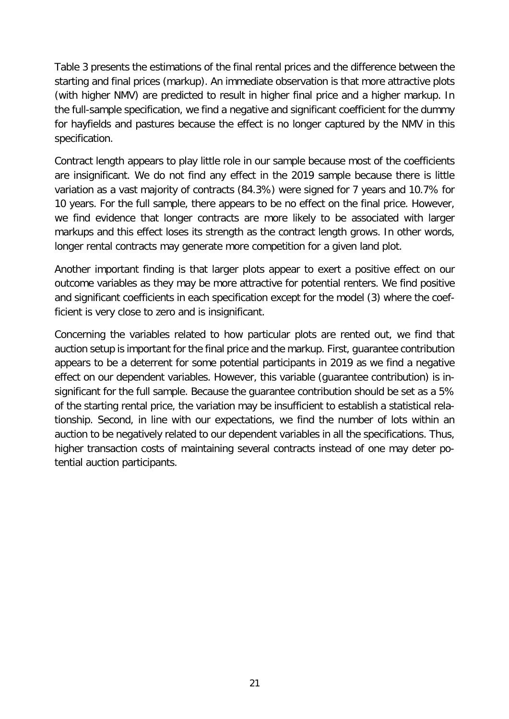[Table 3](#page-21-1) presents the estimations of the final rental prices and the difference between the starting and final prices (markup). An immediate observation is that more attractive plots (with higher NMV) are predicted to result in higher final price and a higher markup. In the full-sample specification, we find a negative and significant coefficient for the dummy for hayfields and pastures because the effect is no longer captured by the NMV in this specification.

Contract length appears to play little role in our sample because most of the coefficients are insignificant. We do not find any effect in the 2019 sample because there is little variation as a vast majority of contracts (84.3%) were signed for 7 years and 10.7% for 10 years. For the full sample, there appears to be no effect on the final price. However, we find evidence that longer contracts are more likely to be associated with larger markups and this effect loses its strength as the contract length grows. In other words, longer rental contracts may generate more competition for a given land plot.

Another important finding is that larger plots appear to exert a positive effect on our outcome variables as they may be more attractive for potential renters. We find positive and significant coefficients in each specification except for the model (3) where the coefficient is very close to zero and is insignificant.

Concerning the variables related to how particular plots are rented out, we find that auction setup is important for the final price and the markup. First, guarantee contribution appears to be a deterrent for some potential participants in 2019 as we find a negative effect on our dependent variables. However, this variable (guarantee contribution) is insignificant for the full sample. Because the guarantee contribution should be set as a 5% of the starting rental price, the variation may be insufficient to establish a statistical relationship. Second, in line with our expectations, we find the number of lots within an auction to be negatively related to our dependent variables in all the specifications. Thus, higher transaction costs of maintaining several contracts instead of one may deter potential auction participants.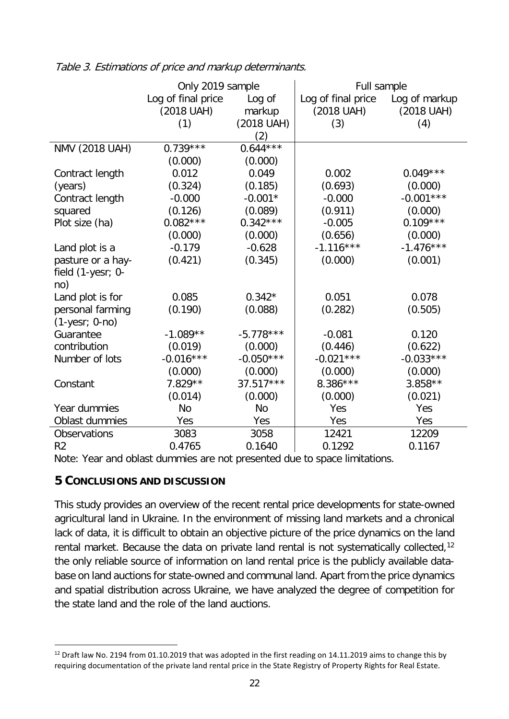|                     | Only 2019 sample   |             | Full sample        |               |  |
|---------------------|--------------------|-------------|--------------------|---------------|--|
|                     | Log of final price | Log of      | Log of final price | Log of markup |  |
|                     | (2018 UAH)         | markup      | (2018 UAH)         | (2018 UAH)    |  |
|                     | (1)                | (2018 UAH)  | (3)                | (4)           |  |
|                     |                    | (2)         |                    |               |  |
| NMV (2018 UAH)      | $0.739***$         | $0.644***$  |                    |               |  |
|                     | (0.000)            | (0.000)     |                    |               |  |
| Contract length     | 0.012              | 0.049       | 0.002              | $0.049***$    |  |
| (years)             | (0.324)            | (0.185)     | (0.693)            | (0.000)       |  |
| Contract length     | $-0.000$           | $-0.001*$   | $-0.000$           | $-0.001***$   |  |
| squared             | (0.126)            | (0.089)     | (0.911)            | (0.000)       |  |
| Plot size (ha)      | $0.082***$         | $0.342***$  | $-0.005$           | $0.109***$    |  |
|                     | (0.000)            | (0.000)     | (0.656)            | (0.000)       |  |
| Land plot is a      | $-0.179$           | $-0.628$    | $-1.116***$        | $-1.476***$   |  |
| pasture or a hay-   | (0.421)            | (0.345)     | (0.000)            | (0.001)       |  |
| field (1-yesr; 0-   |                    |             |                    |               |  |
| no)                 |                    |             |                    |               |  |
| Land plot is for    | 0.085              | $0.342*$    | 0.051              | 0.078         |  |
| personal farming    | (0.190)            | (0.088)     | (0.282)            | (0.505)       |  |
| $(1$ -yesr; 0-no)   |                    |             |                    |               |  |
| Guarantee           | $-1.089**$         | $-5.778***$ | $-0.081$           | 0.120         |  |
| contribution        | (0.019)            | (0.000)     | (0.446)            | (0.622)       |  |
| Number of lots      | $-0.016***$        | $-0.050***$ | $-0.021***$        | $-0.033***$   |  |
|                     | (0.000)            | (0.000)     | (0.000)            | (0.000)       |  |
| Constant            | $7.829**$          | $37.517***$ | 8.386***           | $3.858**$     |  |
|                     | (0.014)            | (0.000)     | (0.000)            | (0.021)       |  |
| Year dummies        | No                 | <b>No</b>   | Yes                | Yes           |  |
| Oblast dummies      | Yes                | Yes         | Yes                | Yes           |  |
| <b>Observations</b> | 3083               | 3058        | 12421              | 12209         |  |
| R <sub>2</sub>      | 0.4765             | 0.1640      | 0.1292             | 0.1167        |  |

<span id="page-21-1"></span>Table 3. Estimations of price and markup determinants.

Note: Year and oblast dummies are not presented due to space limitations.

# <span id="page-21-0"></span>**5 CONCLUSIONS AND DISCUSSION**

This study provides an overview of the recent rental price developments for state-owned agricultural land in Ukraine. In the environment of missing land markets and a chronical lack of data, it is difficult to obtain an objective picture of the price dynamics on the land rental market. Because the data on private land rental is not systematically collected,<sup>[12](#page-21-2)</sup> the only reliable source of information on land rental price is the publicly available database on land auctions for state-owned and communal land. Apart from the price dynamics and spatial distribution across Ukraine, we have analyzed the degree of competition for the state land and the role of the land auctions.

<span id="page-21-2"></span><sup>&</sup>lt;sup>12</sup> Draft law No. 2194 from 01.10.2019 that was adopted in the first reading on 14.11.2019 aims to change this by requiring documentation of the private land rental price in the State Registry of Property Rights for Real Estate.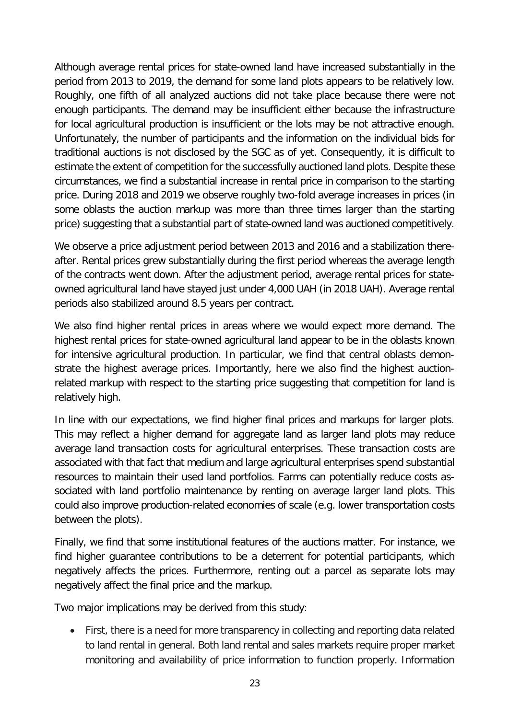Although average rental prices for state-owned land have increased substantially in the period from 2013 to 2019, the demand for some land plots appears to be relatively low. Roughly, one fifth of all analyzed auctions did not take place because there were not enough participants. The demand may be insufficient either because the infrastructure for local agricultural production is insufficient or the lots may be not attractive enough. Unfortunately, the number of participants and the information on the individual bids for traditional auctions is not disclosed by the SGC as of yet. Consequently, it is difficult to estimate the extent of competition for the successfully auctioned land plots. Despite these circumstances, we find a substantial increase in rental price in comparison to the starting price. During 2018 and 2019 we observe roughly two-fold average increases in prices (in some oblasts the auction markup was more than three times larger than the starting price) suggesting that a substantial part of state-owned land was auctioned competitively.

We observe a price adjustment period between 2013 and 2016 and a stabilization thereafter. Rental prices grew substantially during the first period whereas the average length of the contracts went down. After the adjustment period, average rental prices for stateowned agricultural land have stayed just under 4,000 UAH (in 2018 UAH). Average rental periods also stabilized around 8.5 years per contract.

We also find higher rental prices in areas where we would expect more demand. The highest rental prices for state-owned agricultural land appear to be in the oblasts known for intensive agricultural production. In particular, we find that central oblasts demonstrate the highest average prices. Importantly, here we also find the highest auctionrelated markup with respect to the starting price suggesting that competition for land is relatively high.

In line with our expectations, we find higher final prices and markups for larger plots. This may reflect a higher demand for aggregate land as larger land plots may reduce average land transaction costs for agricultural enterprises. These transaction costs are associated with that fact that medium and large agricultural enterprises spend substantial resources to maintain their used land portfolios. Farms can potentially reduce costs associated with land portfolio maintenance by renting on average larger land plots. This could also improve production-related economies of scale (e.g. lower transportation costs between the plots).

Finally, we find that some institutional features of the auctions matter. For instance, we find higher guarantee contributions to be a deterrent for potential participants, which negatively affects the prices. Furthermore, renting out a parcel as separate lots may negatively affect the final price and the markup.

Two major implications may be derived from this study:

• First, there is a need for more transparency in collecting and reporting data related to land rental in general. Both land rental and sales markets require proper market monitoring and availability of price information to function properly. Information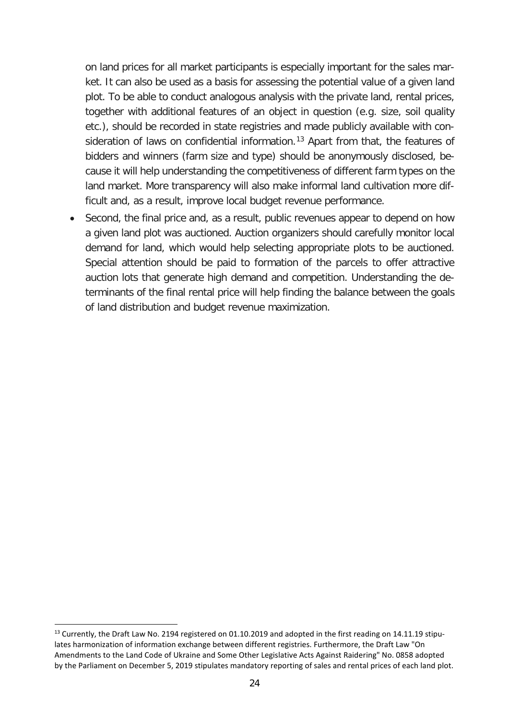on land prices for all market participants is especially important for the sales market. It can also be used as a basis for assessing the potential value of a given land plot. To be able to conduct analogous analysis with the private land, rental prices, together with additional features of an object in question (e.g. size, soil quality etc.), should be recorded in state registries and made publicly available with con-sideration of laws on confidential information.<sup>[13](#page-23-0)</sup> Apart from that, the features of bidders and winners (farm size and type) should be anonymously disclosed, because it will help understanding the competitiveness of different farm types on the land market. More transparency will also make informal land cultivation more difficult and, as a result, improve local budget revenue performance.

Second, the final price and, as a result, public revenues appear to depend on how a given land plot was auctioned. Auction organizers should carefully monitor local demand for land, which would help selecting appropriate plots to be auctioned. Special attention should be paid to formation of the parcels to offer attractive auction lots that generate high demand and competition. Understanding the determinants of the final rental price will help finding the balance between the goals of land distribution and budget revenue maximization.

<span id="page-23-0"></span> $13$  Currently, the Draft Law No. 2194 registered on 01.10.2019 and adopted in the first reading on 14.11.19 stipulates harmonization of information exchange between different registries. Furthermore, the Draft Law "On Amendments to the Land Code of Ukraine and Some Other Legislative Acts Against Raidering" No. 0858 adopted by the Parliament on December 5, 2019 stipulates mandatory reporting of sales and rental prices of each land plot.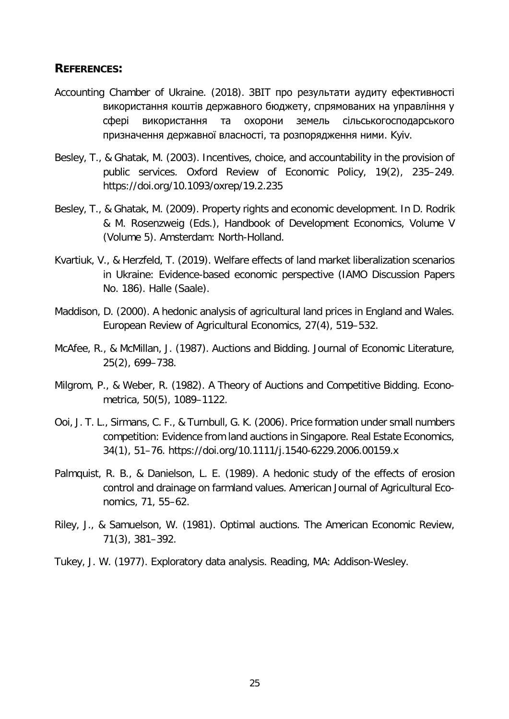#### <span id="page-24-0"></span>**REFERENCES:**

- Accounting Chamber of Ukraine. (2018). ЗВІТ про результати аудиту ефективності використання коштів державного бюджету, спрямованих на управління у сфері використання та охорони земель сільськогосподарського призначення державної власності, та розпорядження ними. Kyiv.
- Besley, T., & Ghatak, M. (2003). Incentives, choice, and accountability in the provision of public services. Oxford Review of Economic Policy, 19(2), 235–249. https://doi.org/10.1093/oxrep/19.2.235
- Besley, T., & Ghatak, M. (2009). Property rights and economic development. In D. Rodrik & M. Rosenzweig (Eds.), Handbook of Development Economics, Volume V (Volume 5). Amsterdam: North-Holland.
- Kvartiuk, V., & Herzfeld, T. (2019). Welfare effects of land market liberalization scenarios in Ukraine: Evidence-based economic perspective (IAMO Discussion Papers No. 186). Halle (Saale).
- Maddison, D. (2000). A hedonic analysis of agricultural land prices in England and Wales. European Review of Agricultural Economics, 27(4), 519–532.
- McAfee, R., & McMillan, J. (1987). Auctions and Bidding. Journal of Economic Literature, 25(2), 699–738.
- Milgrom, P., & Weber, R. (1982). A Theory of Auctions and Competitive Bidding. Econometrica, 50(5), 1089–1122.
- Ooi, J. T. L., Sirmans, C. F., & Turnbull, G. K. (2006). Price formation under small numbers competition: Evidence from land auctions in Singapore. Real Estate Economics, 34(1), 51–76. https://doi.org/10.1111/j.1540-6229.2006.00159.x
- Palmquist, R. B., & Danielson, L. E. (1989). A hedonic study of the effects of erosion control and drainage on farmland values. American Journal of Agricultural Economics, 71, 55–62.
- Riley, J., & Samuelson, W. (1981). Optimal auctions. The American Economic Review, 71(3), 381–392.
- Tukey, J. W. (1977). Exploratory data analysis. Reading, MA: Addison-Wesley.